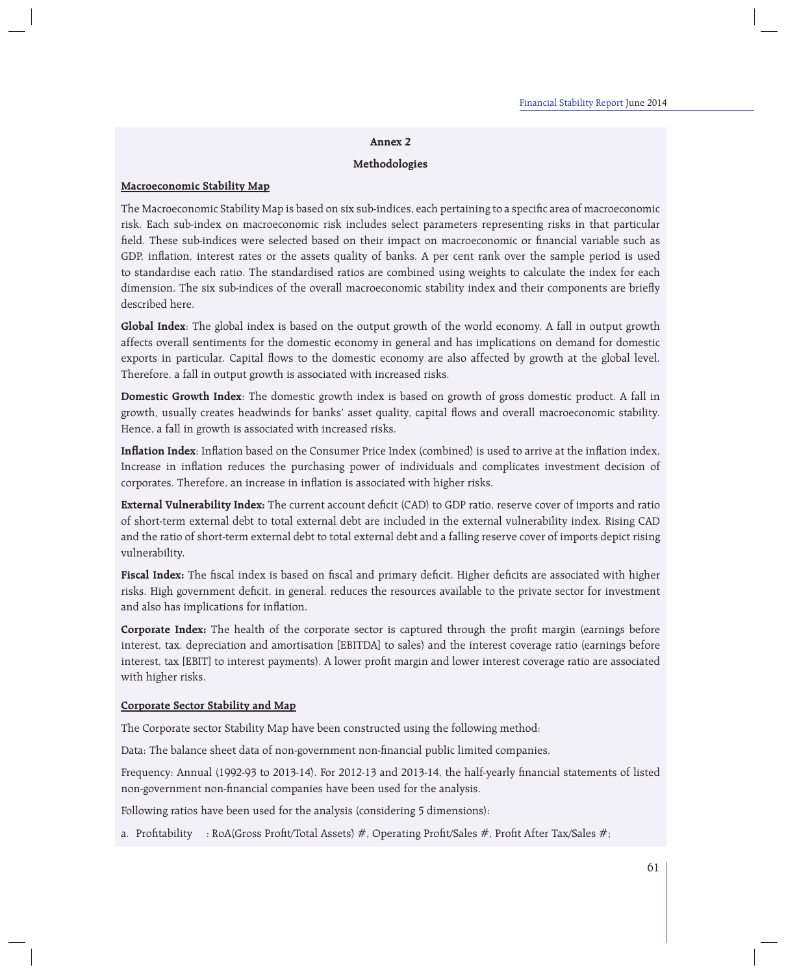### **Annex 2**

### **Methodologies**

### **Macroeconomic Stability Map**

The Macroeconomic Stability Map is based on six sub-indices, each pertaining to a specific area of macroeconomic risk. Each sub-index on macroeconomic risk includes select parameters representing risks in that particular field. These sub-indices were selected based on their impact on macroeconomic or financial variable such as GDP, inflation, interest rates or the assets quality of banks. A per cent rank over the sample period is used to standardise each ratio. The standardised ratios are combined using weights to calculate the index for each dimension. The six sub-indices of the overall macroeconomic stability index and their components are briefly described here.

**Global Index**: The global index is based on the output growth of the world economy. A fall in output growth affects overall sentiments for the domestic economy in general and has implications on demand for domestic exports in particular. Capital flows to the domestic economy are also affected by growth at the global level. Therefore, a fall in output growth is associated with increased risks.

**Domestic Growth Index**: The domestic growth index is based on growth of gross domestic product. A fall in growth, usually creates headwinds for banks' asset quality, capital flows and overall macroeconomic stability. Hence, a fall in growth is associated with increased risks.

**Inflation Index**: Inflation based on the Consumer Price Index (combined) is used to arrive at the inflation index. Increase in inflation reduces the purchasing power of individuals and complicates investment decision of corporates. Therefore, an increase in inflation is associated with higher risks.

**External Vulnerability Index:** The current account deficit (CAD) to GDP ratio, reserve cover of imports and ratio of short-term external debt to total external debt are included in the external vulnerability index. Rising CAD and the ratio of short-term external debt to total external debt and a falling reserve cover of imports depict rising vulnerability.

Fiscal Index: The fiscal index is based on fiscal and primary deficit. Higher deficits are associated with higher risks. High government deficit, in general, reduces the resources available to the private sector for investment and also has implications for inflation.

**Corporate Index:** The health of the corporate sector is captured through the profit margin (earnings before interest, tax, depreciation and amortisation [EBITDA] to sales) and the interest coverage ratio (earnings before interest, tax [EBIT] to interest payments). A lower profit margin and lower interest coverage ratio are associated with higher risks.

#### **Corporate Sector Stability and Map**

The Corporate sector Stability Map have been constructed using the following method:

Data: The balance sheet data of non-government non-financial public limited companies.

Frequency: Annual (1992-93 to 2013-14). For 2012-13 and 2013-14, the half-yearly financial statements of listed non-government non-financial companies have been used for the analysis.

Following ratios have been used for the analysis (considering 5 dimensions):

a. Profitability : RoA(Gross Profit/Total Assets) #, Operating Profit/Sales #, Profit After Tax/Sales #;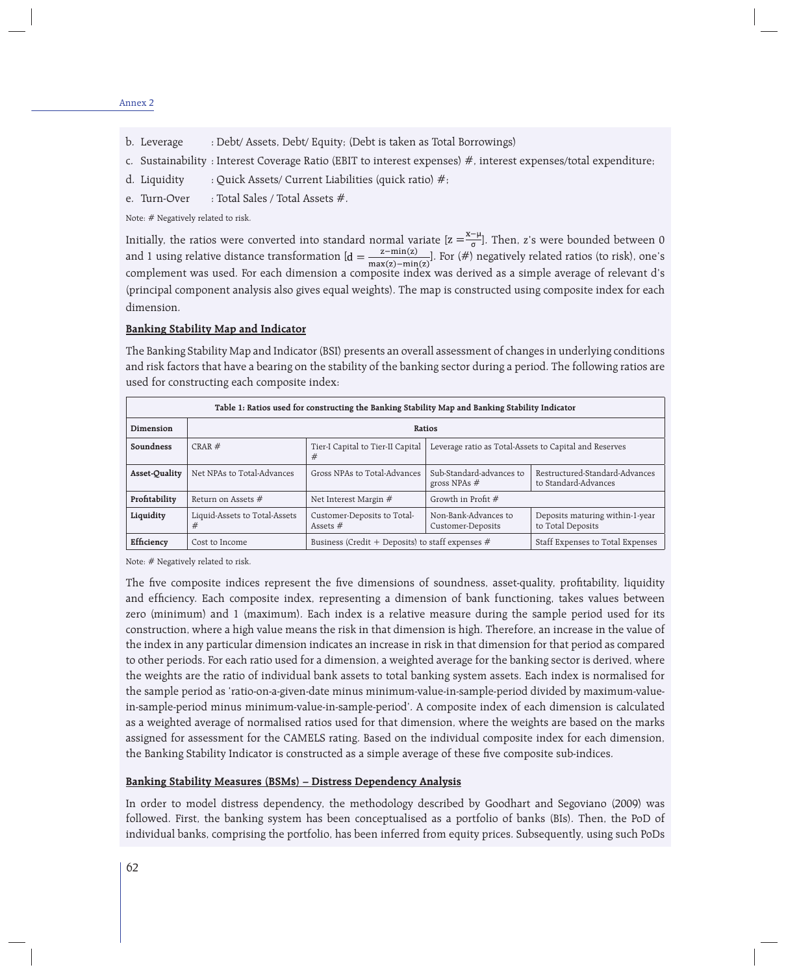- b. Leverage : Debt/ Assets, Debt/ Equity; (Debt is taken as Total Borrowings)
- c. Sustainability : Interest Coverage Ratio (EBIT to interest expenses) #, interest expenses/total expenditure;
- d. Liquidity : Quick Assets/ Current Liabilities (quick ratio)  $\#$ ;
- e. Turn-Over : Total Sales / Total Assets #.

Note: # Negatively related to risk.

Initially, the ratios were converted into standard normal variate  $[z = \frac{1}{\sigma}]$ . Then, z's were bounded between 0 and 1 using relative distance transformation  $[d = \frac{E_{\text{max}(r)} - E_{\text{min}}(r)}{E_{\text{max}(r)} - E_{\text{min}}(r)}]$ . For  $(\#)$  negatively related ratios (to risk), one's complement was used. For each dimension a composite index was derived as a simple average of relevant d's (principal component analysis also gives equal weights). The map is constructed using composite index for each dimension.

### **Banking Stability Map and Indicator**

The Banking Stability Map and Indicator (BSI) presents an overall assessment of changes in underlying conditions and risk factors that have a bearing on the stability of the banking sector during a period. The following ratios are used for constructing each composite index:

| Table 1: Ratios used for constructing the Banking Stability Map and Banking Stability Indicator |                                    |                                                    |                                                        |                                                        |
|-------------------------------------------------------------------------------------------------|------------------------------------|----------------------------------------------------|--------------------------------------------------------|--------------------------------------------------------|
| Dimension                                                                                       | Ratios                             |                                                    |                                                        |                                                        |
| Soundness                                                                                       | $CRAR \#$                          | Tier-I Capital to Tier-II Capital<br>#             | Leverage ratio as Total-Assets to Capital and Reserves |                                                        |
| Asset-Quality                                                                                   | Net NPAs to Total-Advances         | Gross NPAs to Total-Advances                       | Sub-Standard-advances to<br>gross NPAs $#$             | Restructured-Standard-Advances<br>to Standard-Advances |
| Profitability                                                                                   | Return on Assets $#$               | Net Interest Margin $#$                            | Growth in Profit #                                     |                                                        |
| Liquidity                                                                                       | Liquid-Assets to Total-Assets<br># | Customer-Deposits to Total-<br>Assets $#$          | Non-Bank-Advances to<br>Customer-Deposits              | Deposits maturing within-1-year<br>to Total Deposits   |
| Efficiency                                                                                      | Cost to Income                     | Business (Credit + Deposits) to staff expenses $#$ |                                                        | Staff Expenses to Total Expenses                       |

Note: # Negatively related to risk.

The five composite indices represent the five dimensions of soundness, asset-quality, profitability, liquidity and efficiency. Each composite index, representing a dimension of bank functioning, takes values between zero (minimum) and 1 (maximum). Each index is a relative measure during the sample period used for its construction, where a high value means the risk in that dimension is high. Therefore, an increase in the value of the index in any particular dimension indicates an increase in risk in that dimension for that period as compared to other periods. For each ratio used for a dimension, a weighted average for the banking sector is derived, where the weights are the ratio of individual bank assets to total banking system assets. Each index is normalised for the sample period as 'ratio-on-a-given-date minus minimum-value-in-sample-period divided by maximum-valuein-sample-period minus minimum-value-in-sample-period'. A composite index of each dimension is calculated as a weighted average of normalised ratios used for that dimension, where the weights are based on the marks assigned for assessment for the CAMELS rating. Based on the individual composite index for each dimension, the Banking Stability Indicator is constructed as a simple average of these five composite sub-indices.

#### **Banking Stability Measures (BSMs) – Distress Dependency Analysis**

In order to model distress dependency, the methodology described by Goodhart and Segoviano (2009) was followed. First, the banking system has been conceptualised as a portfolio of banks (BIs). Then, the PoD of individual banks, comprising the portfolio, has been inferred from equity prices. Subsequently, using such PoDs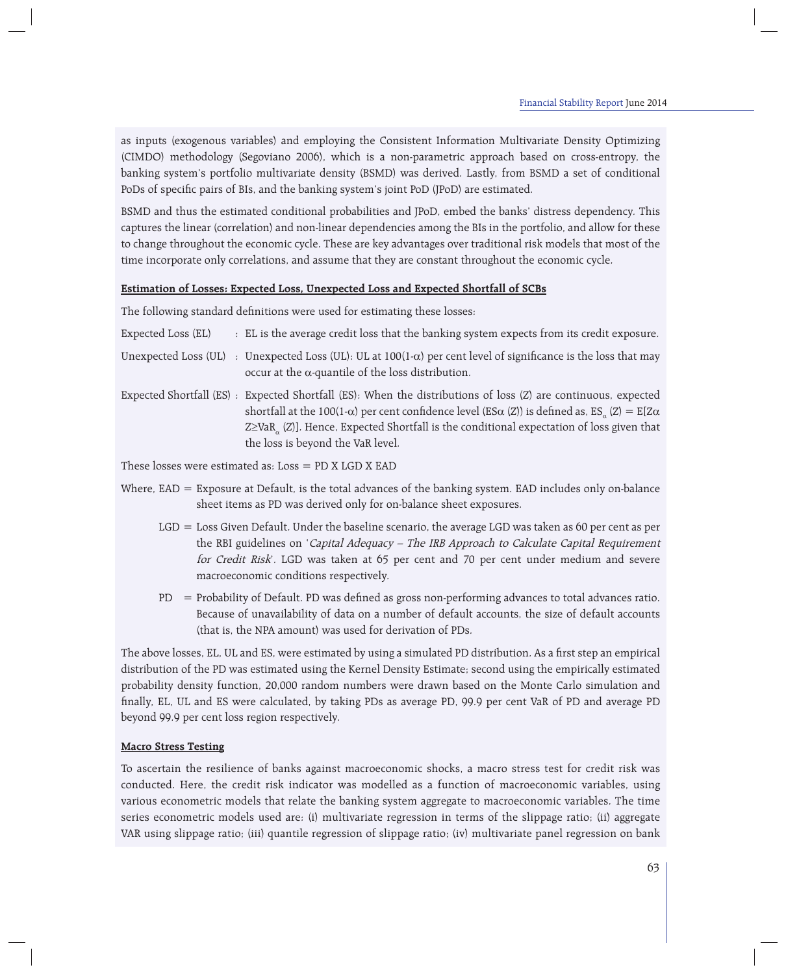as inputs (exogenous variables) and employing the Consistent Information Multivariate Density Optimizing (CIMDO) methodology (Segoviano 2006), which is a non-parametric approach based on cross-entropy, the banking system's portfolio multivariate density (BSMD) was derived. Lastly, from BSMD a set of conditional PoDs of specific pairs of BIs, and the banking system's joint PoD (JPoD) are estimated.

BSMD and thus the estimated conditional probabilities and JPoD, embed the banks' distress dependency. This captures the linear (correlation) and non-linear dependencies among the BIs in the portfolio, and allow for these to change throughout the economic cycle. These are key advantages over traditional risk models that most of the time incorporate only correlations, and assume that they are constant throughout the economic cycle.

# **Estimation of Losses: Expected Loss, Unexpected Loss and Expected Shortfall of SCBs**

The following standard definitions were used for estimating these losses:

| Expected Loss (EL) | : EL is the average credit loss that the banking system expects from its credit exposure.                                                                                                                                                                                                                                                                                                              |
|--------------------|--------------------------------------------------------------------------------------------------------------------------------------------------------------------------------------------------------------------------------------------------------------------------------------------------------------------------------------------------------------------------------------------------------|
|                    | Unexpected Loss (UL) : Unexpected Loss (UL): UL at $100(1-\alpha)$ per cent level of significance is the loss that may<br>occur at the $\alpha$ -quantile of the loss distribution.                                                                                                                                                                                                                    |
|                    | Expected Shortfall (ES) : Expected Shortfall (ES): When the distributions of loss (Z) are continuous, expected<br>shortfall at the 100(1- $\alpha$ ) per cent confidence level (ES $\alpha$ (Z)) is defined as, ES <sub>.</sub> (Z) = E[Z $\alpha$<br>$Z \geq VaR$ <sub>2</sub> (Z)]. Hence, Expected Shortfall is the conditional expectation of loss given that<br>the loss is beyond the VaR level. |

These losses were estimated as:  $Loss = PD X LGD X EAD$ 

- Where, EAD = Exposure at Default, is the total advances of the banking system. EAD includes only on-balance sheet items as PD was derived only for on-balance sheet exposures.
	- LGD = Loss Given Default. Under the baseline scenario, the average LGD was taken as 60 per cent as per the RBI guidelines on 'Capital Adequacy - The IRB Approach to Calculate Capital Requirement for Credit Risk'. LGD was taken at 65 per cent and 70 per cent under medium and severe macroeconomic conditions respectively.
	- PD = Probability of Default. PD was defined as gross non-performing advances to total advances ratio. Because of unavailability of data on a number of default accounts, the size of default accounts (that is, the NPA amount) was used for derivation of PDs.

The above losses, EL, UL and ES, were estimated by using a simulated PD distribution. As a first step an empirical distribution of the PD was estimated using the Kernel Density Estimate; second using the empirically estimated probability density function, 20,000 random numbers were drawn based on the Monte Carlo simulation and finally, EL, UL and ES were calculated, by taking PDs as average PD, 99.9 per cent VaR of PD and average PD beyond 99.9 per cent loss region respectively.

# **Macro Stress Testing**

To ascertain the resilience of banks against macroeconomic shocks, a macro stress test for credit risk was conducted. Here, the credit risk indicator was modelled as a function of macroeconomic variables, using various econometric models that relate the banking system aggregate to macroeconomic variables. The time series econometric models used are: (i) multivariate regression in terms of the slippage ratio; (ii) aggregate VAR using slippage ratio; (iii) quantile regression of slippage ratio; (iv) multivariate panel regression on bank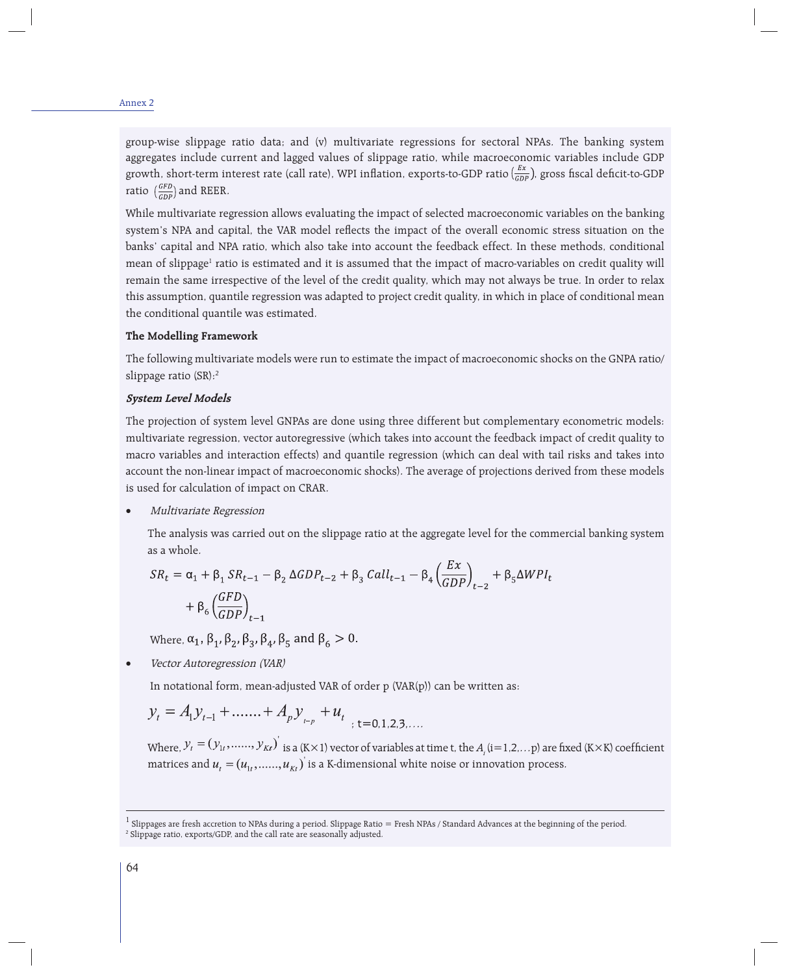group-wise slippage ratio data; and (v) multivariate regressions for sectoral NPAs. The banking system aggregates include current and lagged values of slippage ratio, while macroeconomic variables include GDP growth, short-term interest rate (call rate), WPI inflation, exports-to-GDP ratio  $\frac{Ex}{GDP}$ ), gross fiscal deficit-to-GDP ratio  $\left(\frac{GFD}{GDP}\right)$  and REER.

While multivariate regression allows evaluating the impact of selected macroeconomic variables on the banking system's NPA and capital, the VAR model reflects the impact of the overall economic stress situation on the banks' capital and NPA ratio, which also take into account the feedback effect. In these methods, conditional mean of slippage<sup>1</sup> ratio is estimated and it is assumed that the impact of macro-variables on credit quality will remain the same irrespective of the level of the credit quality, which may not always be true. In order to relax this assumption, quantile regression was adapted to project credit quality, in which in place of conditional mean the conditional quantile was estimated.

### **The Modelling Framework**

The following multivariate models were run to estimate the impact of macroeconomic shocks on the GNPA ratio/ slippage ratio (SR):2

### **System Level Models**

The projection of system level GNPAs are done using three different but complementary econometric models: multivariate regression, vector autoregressive (which takes into account the feedback impact of credit quality to macro variables and interaction effects) and quantile regression (which can deal with tail risks and takes into account the non-linear impact of macroeconomic shocks). The average of projections derived from these models is used for calculation of impact on CRAR.

Multivariate Regression

The analysis was carried out on the slippage ratio at the aggregate level for the commercial banking system as a whole.

$$
SR_t = \alpha_1 + \beta_1 SR_{t-1} - \beta_2 \Delta GDP_{t-2} + \beta_3 Call_{t-1} - \beta_4 \left(\frac{EX}{GDP}\right)_{t-2} + \beta_5 \Delta WPI_t
$$
  
+  $\beta_6 \left(\frac{GFD}{GDP}\right)_{t-1}$ 

Where,  $\alpha_1$ ,  $\beta_1$ ,  $\beta_2$ ,  $\beta_3$ ,  $\beta_4$ ,  $\beta_5$  and  $\beta_6 > 0$ .

Vector Autoregression (VAR)

In notational form, mean-adjusted VAR of order p (VAR(p)) can be written as:

$$
y_t = A_1 y_{t-1} + \dots + A_p y_{t-p} + u_t
$$

Where,  $y_t = (y_{1t}, \ldots, y_{Kt})$  is a (K×1) vector of variables at time t, the  $A_i$  (i=1,2,...p) are fixed (K×K) coefficient matrices and  $u_t = (u_{1t}, \ldots, u_{kt})$  is a K-dimensional white noise or innovation process.

 $^1$  Slippages are fresh accretion to NPAs during a period. Slippage Ratio = Fresh NPAs / Standard Advances at the beginning of the period. 2 Slippage ratio, exports/GDP, and the call rate are seasonally adjusted.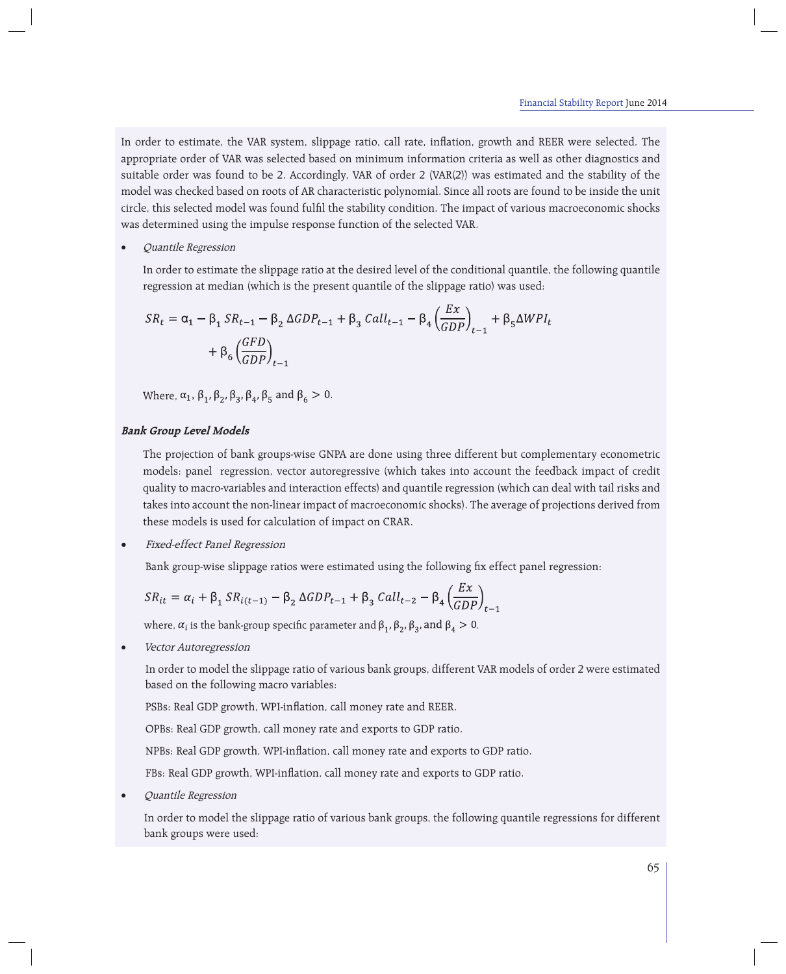In order to estimate, the VAR system, slippage ratio, call rate, inflation, growth and REER were selected. The appropriate order of VAR was selected based on minimum information criteria as well as other diagnostics and suitable order was found to be 2. Accordingly, VAR of order 2 (VAR(2)) was estimated and the stability of the model was checked based on roots of AR characteristic polynomial. Since all roots are found to be inside the unit circle, this selected model was found fulfi l the stability condition. The impact of various macroeconomic shocks was determined using the impulse response function of the selected VAR.

Quantile Regression

In order to estimate the slippage ratio at the desired level of the conditional quantile, the following quantile regression at median (which is the present quantile of the slippage ratio) was used:

$$
SR_t = \alpha_1 - \beta_1 SR_{t-1} - \beta_2 \Delta GDP_{t-1} + \beta_3 Call_{t-1} - \beta_4 \left(\frac{Ex}{GDP}\right)_{t-1} + \beta_5 \Delta WPI_t
$$

$$
+ \beta_6 \left(\frac{GFD}{GDP}\right)_{t-1}
$$

Where,  $\alpha_1$ ,  $\beta_1$ ,  $\beta_2$ ,  $\beta_3$ ,  $\beta_4$ ,  $\beta_5$  and  $\beta_6 > 0$ .

### **Bank Group Level Models**

The projection of bank groups-wise GNPA are done using three different but complementary econometric models: panel regression, vector autoregressive (which takes into account the feedback impact of credit quality to macro-variables and interaction effects) and quantile regression (which can deal with tail risks and takes into account the non-linear impact of macroeconomic shocks). The average of projections derived from these models is used for calculation of impact on CRAR.

Fixed-effect Panel Regression

Bank group-wise slippage ratios were estimated using the following fix effect panel regression:

$$
SR_{it} = \alpha_i + \beta_1 SR_{i(t-1)} - \beta_2 \Delta GDP_{t-1} + \beta_3 Call_{t-2} - \beta_4 \left(\frac{Ex}{GDP}\right)_{t-1}
$$

where,  $\alpha_i$  is the bank-group specific parameter and  $\beta_1$ ,  $\beta_2$ ,  $\beta_3$ , and  $\beta_4 > 0$ .

Vector Autoregression

 In order to model the slippage ratio of various bank groups, different VAR models of order 2 were estimated based on the following macro variables:

PSBs: Real GDP growth, WPI-inflation, call money rate and REER.

OPBs: Real GDP growth, call money rate and exports to GDP ratio.

NPBs: Real GDP growth, WPI-inflation, call money rate and exports to GDP ratio.

FBs: Real GDP growth, WPI-inflation, call money rate and exports to GDP ratio.

Quantile Regression

In order to model the slippage ratio of various bank groups, the following quantile regressions for different bank groups were used: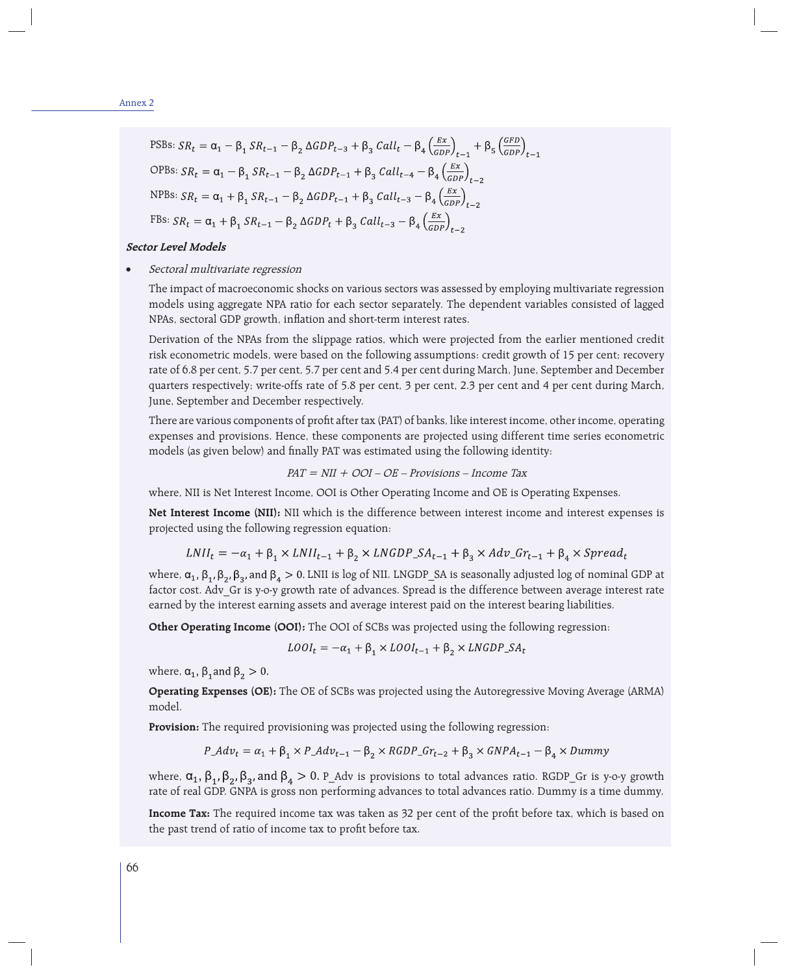$$
\text{PSBs: } SR_t = \alpha_1 - \beta_1 SR_{t-1} - \beta_2 \Delta GDP_{t-3} + \beta_3 \text{ Call}_t - \beta_4 \left(\frac{Ex}{GDP}\right)_{t-1} + \beta_5 \left(\frac{GFD}{GDP}\right)_{t-1}
$$
\n
$$
\text{OPBs: } SR_t = \alpha_1 - \beta_1 SR_{t-1} - \beta_2 \Delta GDP_{t-1} + \beta_3 \text{ Call}_{t-4} - \beta_4 \left(\frac{Ex}{GDP}\right)_{t-2}
$$
\n
$$
\text{NPBs: } SR_t = \alpha_1 + \beta_1 SR_{t-1} - \beta_2 \Delta GDP_{t-1} + \beta_3 \text{ Call}_{t-3} - \beta_4 \left(\frac{Ex}{GDP}\right)_{t-2}
$$
\n
$$
\text{FBs: } SR_t = \alpha_1 + \beta_1 SR_{t-1} - \beta_2 \Delta GDP_t + \beta_3 \text{ Call}_{t-3} - \beta_4 \left(\frac{Ex}{GDP}\right)_{t-2}
$$

#### **Sector Level Models**

Sectoral multivariate regression

The impact of macroeconomic shocks on various sectors was assessed by employing multivariate regression models using aggregate NPA ratio for each sector separately. The dependent variables consisted of lagged NPAs, sectoral GDP growth, inflation and short-term interest rates.

Derivation of the NPAs from the slippage ratios, which were projected from the earlier mentioned credit risk econometric models, were based on the following assumptions: credit growth of 15 per cent; recovery rate of 6.8 per cent, 5.7 per cent, 5.7 per cent and 5.4 per cent during March, June, September and December quarters respectively; write-offs rate of 5.8 per cent, 3 per cent, 2.3 per cent and 4 per cent during March, June, September and December respectively.

There are various components of profit after tax (PAT) of banks, like interest income, other income, operating expenses and provisions. Hence, these components are projected using different time series econometric models (as given below) and finally PAT was estimated using the following identity:

$$
PAT = NII + OOI - OE - Provisions - Income Tax
$$

where, NII is Net Interest Income, OOI is Other Operating Income and OE is Operating Expenses.

**Net Interest Income (NII):** NII which is the difference between interest income and interest expenses is projected using the following regression equation:

$$
LNII_t = -\alpha_1 + \beta_1 \times LNI_{t-1} + \beta_2 \times LNGDP\_SA_{t-1} + \beta_2 \times Adv\_Gr_{t-1} + \beta_4 \times Spread_t
$$

where,  $\alpha_1$ ,  $\beta_1$ ,  $\beta_2$ ,  $\beta_3$ , and  $\beta_4 > 0$ . LNII is log of NII. LNGDP SA is seasonally adjusted log of nominal GDP at factor cost. Adv\_Gr is y-o-y growth rate of advances. Spread is the difference between average interest rate earned by the interest earning assets and average interest paid on the interest bearing liabilities.

**Other Operating Income (OOI):** The OOI of SCBs was projected using the following regression:

$$
LOOI_t = -\alpha_1 + \beta_1 \times LOOI_{t-1} + \beta_2 \times LNGDP\_SA_t
$$

where,  $\alpha_1$ ,  $\beta_1$  and  $\beta_2 > 0$ .

**Operating Expenses (OE):** The OE of SCBs was projected using the Autoregressive Moving Average (ARMA) model.

**Provision:** The required provisioning was projected using the following regression:

$$
P\_Adv_t = \alpha_1 + \beta_1 \times P\_Adv_{t-1} - \beta_2 \times RGBP\_Gr_{t-2} + \beta_3 \times GNPA_{t-1} - \beta_4 \times Dummy
$$

where,  $\alpha_1$ ,  $\beta_1$ ,  $\beta_2$ ,  $\beta_3$ , and  $\beta_4 > 0$ . P\_Adv is provisions to total advances ratio. RGDP\_Gr is y-o-y growth rate of real GDP. GNPA is gross non performing advances to total advances ratio. Dummy is a time dummy.

**Income Tax:** The required income tax was taken as 32 per cent of the profit before tax, which is based on the past trend of ratio of income tax to profit before tax.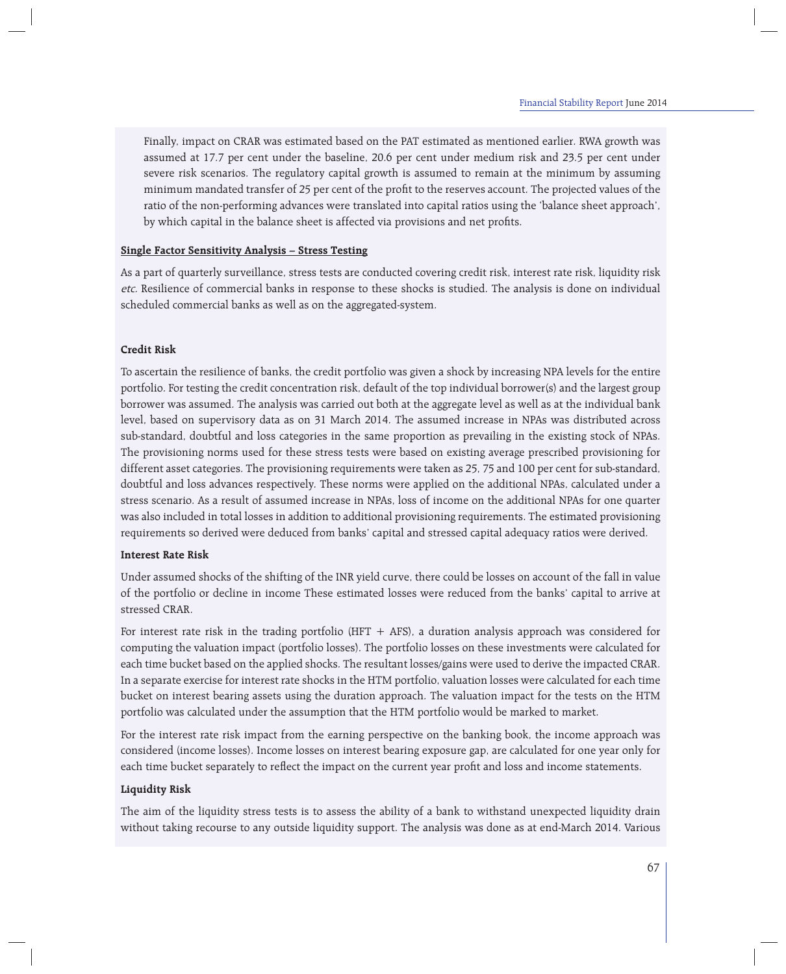Finally, impact on CRAR was estimated based on the PAT estimated as mentioned earlier. RWA growth was assumed at 17.7 per cent under the baseline, 20.6 per cent under medium risk and 23.5 per cent under severe risk scenarios. The regulatory capital growth is assumed to remain at the minimum by assuming minimum mandated transfer of 25 per cent of the profit to the reserves account. The projected values of the ratio of the non-performing advances were translated into capital ratios using the 'balance sheet approach', by which capital in the balance sheet is affected via provisions and net profits.

### **Single Factor Sensitivity Analysis – Stress Testing**

As a part of quarterly surveillance, stress tests are conducted covering credit risk, interest rate risk, liquidity risk etc. Resilience of commercial banks in response to these shocks is studied. The analysis is done on individual scheduled commercial banks as well as on the aggregated-system.

### **Credit Risk**

To ascertain the resilience of banks, the credit portfolio was given a shock by increasing NPA levels for the entire portfolio. For testing the credit concentration risk, default of the top individual borrower(s) and the largest group borrower was assumed. The analysis was carried out both at the aggregate level as well as at the individual bank level, based on supervisory data as on 31 March 2014. The assumed increase in NPAs was distributed across sub-standard, doubtful and loss categories in the same proportion as prevailing in the existing stock of NPAs. The provisioning norms used for these stress tests were based on existing average prescribed provisioning for different asset categories. The provisioning requirements were taken as 25, 75 and 100 per cent for sub-standard, doubtful and loss advances respectively. These norms were applied on the additional NPAs, calculated under a stress scenario. As a result of assumed increase in NPAs, loss of income on the additional NPAs for one quarter was also included in total losses in addition to additional provisioning requirements. The estimated provisioning requirements so derived were deduced from banks' capital and stressed capital adequacy ratios were derived.

#### **Interest Rate Risk**

Under assumed shocks of the shifting of the INR yield curve, there could be losses on account of the fall in value of the portfolio or decline in income These estimated losses were reduced from the banks' capital to arrive at stressed CRAR.

For interest rate risk in the trading portfolio (HFT  $+$  AFS), a duration analysis approach was considered for computing the valuation impact (portfolio losses). The portfolio losses on these investments were calculated for each time bucket based on the applied shocks. The resultant losses/gains were used to derive the impacted CRAR. In a separate exercise for interest rate shocks in the HTM portfolio, valuation losses were calculated for each time bucket on interest bearing assets using the duration approach. The valuation impact for the tests on the HTM portfolio was calculated under the assumption that the HTM portfolio would be marked to market.

For the interest rate risk impact from the earning perspective on the banking book, the income approach was considered (income losses). Income losses on interest bearing exposure gap, are calculated for one year only for each time bucket separately to reflect the impact on the current year profit and loss and income statements.

# **Liquidity Risk**

The aim of the liquidity stress tests is to assess the ability of a bank to withstand unexpected liquidity drain without taking recourse to any outside liquidity support. The analysis was done as at end-March 2014. Various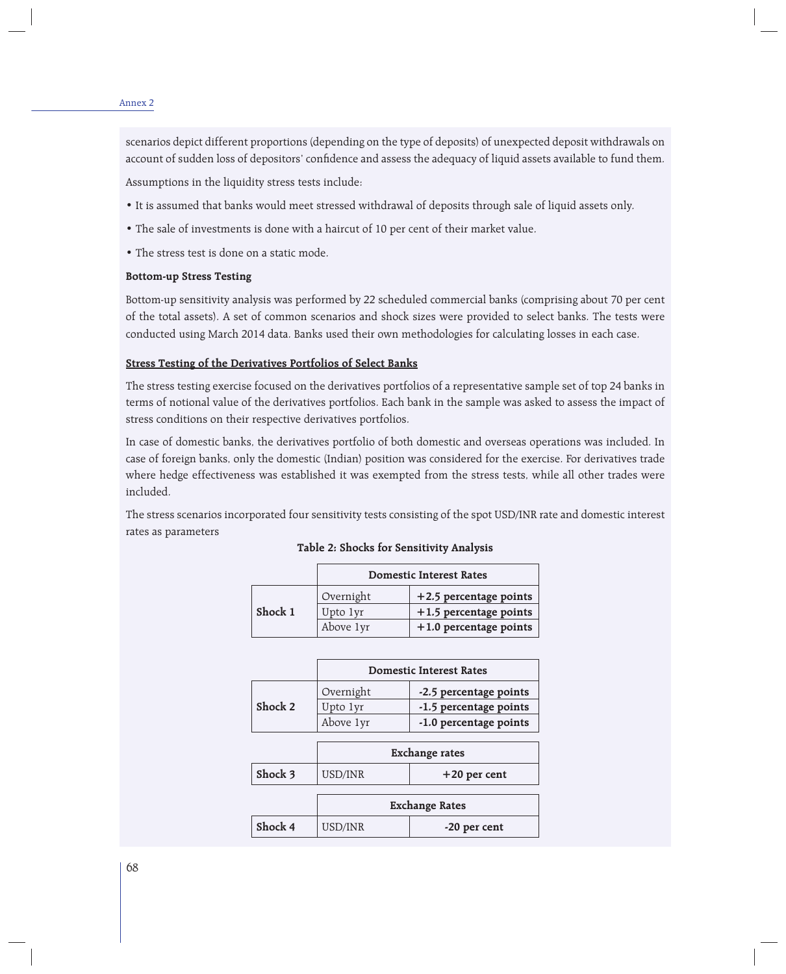#### Annex 2

scenarios depict different proportions (depending on the type of deposits) of unexpected deposit withdrawals on account of sudden loss of depositors' confidence and assess the adequacy of liquid assets available to fund them.

Assumptions in the liquidity stress tests include:

- It is assumed that banks would meet stressed withdrawal of deposits through sale of liquid assets only.
- The sale of investments is done with a haircut of 10 per cent of their market value.
- The stress test is done on a static mode.

## **Bottom-up Stress Testing**

Bottom-up sensitivity analysis was performed by 22 scheduled commercial banks (comprising about 70 per cent of the total assets). A set of common scenarios and shock sizes were provided to select banks. The tests were conducted using March 2014 data. Banks used their own methodologies for calculating losses in each case.

## **Stress Testing of the Derivatives Portfolios of Select Banks**

The stress testing exercise focused on the derivatives portfolios of a representative sample set of top 24 banks in terms of notional value of the derivatives portfolios. Each bank in the sample was asked to assess the impact of stress conditions on their respective derivatives portfolios.

In case of domestic banks, the derivatives portfolio of both domestic and overseas operations was included. In case of foreign banks, only the domestic (Indian) position was considered for the exercise. For derivatives trade where hedge effectiveness was established it was exempted from the stress tests, while all other trades were included.

The stress scenarios incorporated four sensitivity tests consisting of the spot USD/INR rate and domestic interest rates as parameters

|         | <b>Domestic Interest Rates</b> |                          |  |
|---------|--------------------------------|--------------------------|--|
|         | Overnight                      | +2.5 percentage points   |  |
| Shock 1 | Upto 1yr                       | $+1.5$ percentage points |  |
|         | Above 1yr                      | $+1.0$ percentage points |  |

#### **Table 2: Shocks for Sensitivity Analysis**

|         | <b>Domestic Interest Rates</b> |                        |  |
|---------|--------------------------------|------------------------|--|
|         | Overnight                      | -2.5 percentage points |  |
| Shock 2 | Upto 1yr                       | -1.5 percentage points |  |
|         | Above 1yr                      | -1.0 percentage points |  |

|         | <b>Exchange rates</b> |                |
|---------|-----------------------|----------------|
| Shock 3 | USD/INR               | $+20$ per cent |

|         | <b>Exchange Rates</b> |              |
|---------|-----------------------|--------------|
| Shock 4 | USD/INR               | -20 per cent |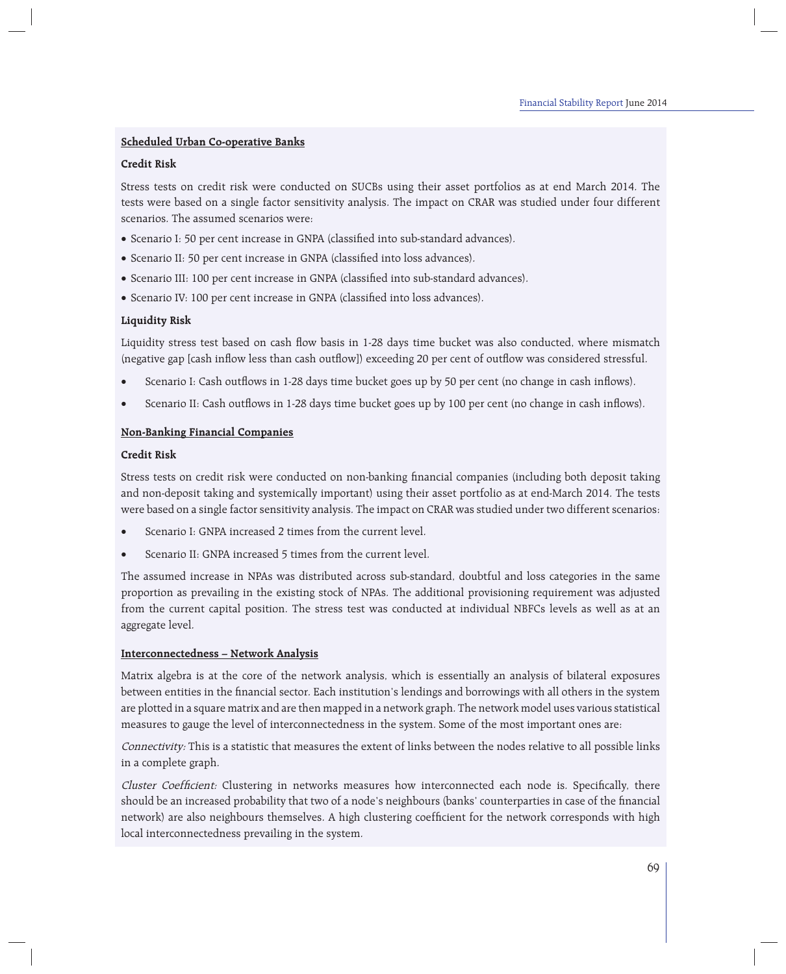# **Scheduled Urban Co-operative Banks**

## **Credit Risk**

Stress tests on credit risk were conducted on SUCBs using their asset portfolios as at end March 2014. The tests were based on a single factor sensitivity analysis. The impact on CRAR was studied under four different scenarios. The assumed scenarios were:

- Scenario I: 50 per cent increase in GNPA (classified into sub-standard advances).
- Scenario II: 50 per cent increase in GNPA (classified into loss advances).
- Scenario III: 100 per cent increase in GNPA (classified into sub-standard advances).
- Scenario IV: 100 per cent increase in GNPA (classified into loss advances).

## **Liquidity Risk**

Liquidity stress test based on cash flow basis in 1-28 days time bucket was also conducted, where mismatch (negative gap [cash inflow less than cash outflow]) exceeding 20 per cent of outflow was considered stressful.

- Scenario I: Cash outflows in 1-28 days time bucket goes up by 50 per cent (no change in cash inflows).
- Scenario II: Cash outflows in 1-28 days time bucket goes up by 100 per cent (no change in cash inflows).

## **Non-Banking Financial Companies**

## **Credit Risk**

Stress tests on credit risk were conducted on non-banking financial companies (including both deposit taking and non-deposit taking and systemically important) using their asset portfolio as at end-March 2014. The tests were based on a single factor sensitivity analysis. The impact on CRAR was studied under two different scenarios:

- Scenario I: GNPA increased 2 times from the current level.
- Scenario II: GNPA increased 5 times from the current level.

The assumed increase in NPAs was distributed across sub-standard, doubtful and loss categories in the same proportion as prevailing in the existing stock of NPAs. The additional provisioning requirement was adjusted from the current capital position. The stress test was conducted at individual NBFCs levels as well as at an aggregate level.

# **Interconnectedness – Network Analysis**

Matrix algebra is at the core of the network analysis, which is essentially an analysis of bilateral exposures between entities in the financial sector. Each institution's lendings and borrowings with all others in the system are plotted in a square matrix and are then mapped in a network graph. The network model uses various statistical measures to gauge the level of interconnectedness in the system. Some of the most important ones are:

Connectivity: This is a statistic that measures the extent of links between the nodes relative to all possible links in a complete graph.

Cluster Coefficient: Clustering in networks measures how interconnected each node is. Specifically, there should be an increased probability that two of a node's neighbours (banks' counterparties in case of the financial network) are also neighbours themselves. A high clustering coefficient for the network corresponds with high local interconnectedness prevailing in the system.